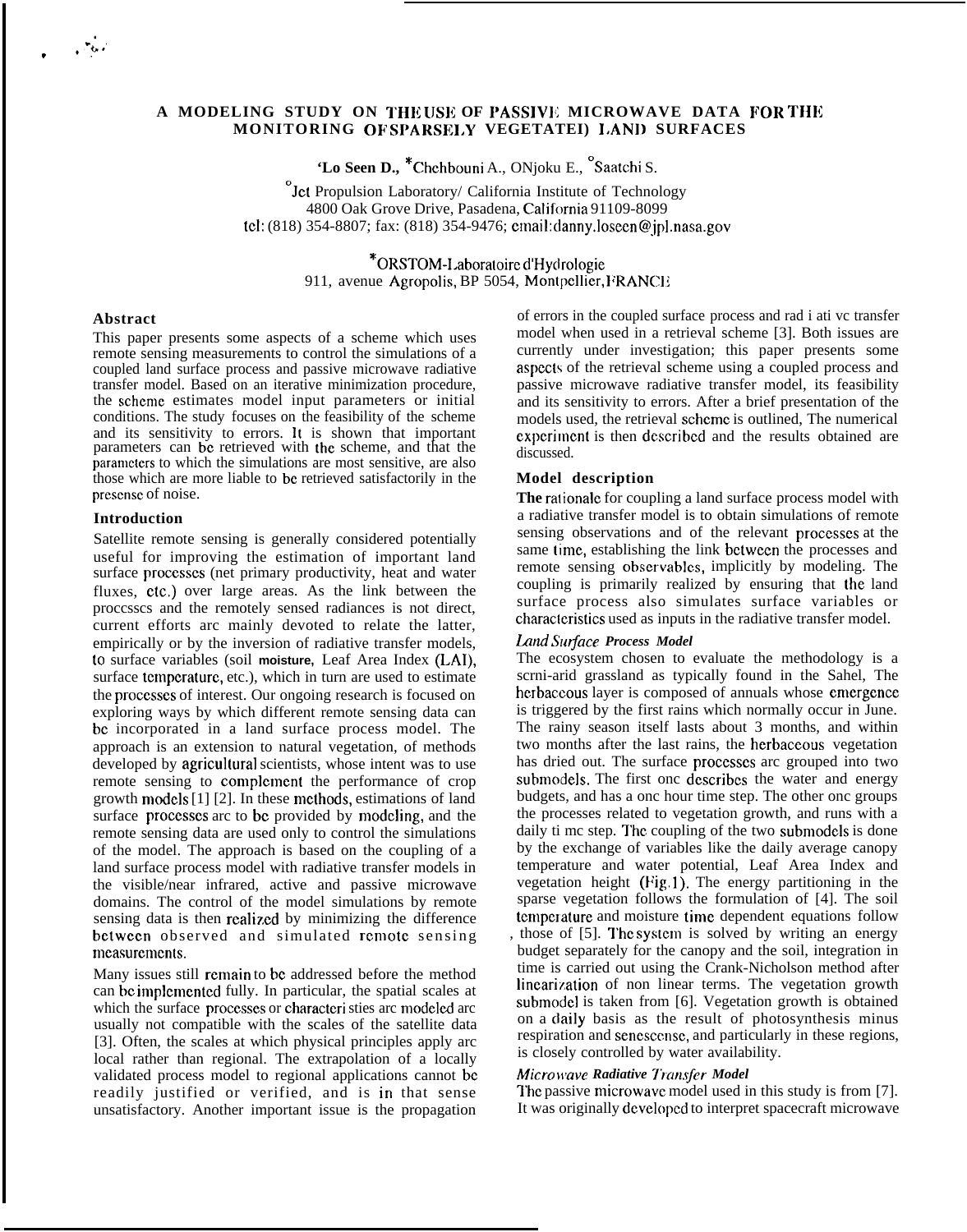.

# A MODELING STUDY ON THE USE OF PASSIVE MICROWAVE DATA FOR THE **MONITORING OF SPARSEI,Y VEGETATEI) I/AN]) SURFACES**

**'Lo Seen D.,** \*Chchbouni A., ONjoku E., "Saatchi S.

 $\mathcal{O}_J$  Propulsion Laboratory/ California Institute of Technology 4800 Oak Grove Drive, Pasadena, California 91109-8099 tcl: (818) 354-8807; fax: (818) 354-9476; cmail: danny.losecn@jpl .nasa.gov

> \*ORSTOM-I.aboratoirc d'Hycirologie 911, avenue Agropolis, BP 5054, Montpellier, FRANCE

#### **Abstract**

This paper presents some aspects of a scheme which uses remote sensing measurements to control the simulations of a coupled land surface process and passive microwave radiative transfer model. Based on an iterative minimization procedure, the scheme estimates model input parameters or initial conditions. The study focuses on the feasibility of the scheme and its sensitivity to errors. It is shown that important parameters can bc retrieved with the scheme, and that the parameters to which the simulations are most sensitive, are also those which are more liable to bc retrieved satisfactorily in the prescnsc of noise.

### **Introduction**

Satellite remote sensing is generally considered potentially useful for improving the estimation of important land surface proccsscs (net primary productivity, heat and water fluxes, CIC.) over large areas. As the link between the proccsscs and the remotely sensed radiances is not direct, current efforts arc mainly devoted to relate the latter, empirically or by the inversion of radiative transfer models, to surface variables (soil **moisture,** Leaf Area Index (LAI), surface temperature, etc.), which in turn are used to estimate the proccsscs of interest. Our ongoing research is focused on exploring ways by which different remote sensing data can bc incorporated in a land surface process model. The approach is an extension to natural vegetation, of methods developed by agricultural scientists, whose intent was to use remote sensing to complement the performance of crop growth models [1] [2]. In these methods, estimations of land surface processes arc to be provided by modeling, and the remote sensing data are used only to control the simulations of the model. The approach is based on the coupling of a land surface process model with radiative transfer models in the visible/near infrared, active and passive microwave domains. The control of the model simulations by remote sensing data is then realized by minimizing the difference bctween observed and simulated remote sensing mcasurcmcnts.

Many issues still remain to be addressed before the method can be implemented fully. In particular, the spatial scales at which the surface processes or characteri sties arc modeled arc usually not compatible with the scales of the satellite data [3]. Often, the scales at which physical principles apply arc local rather than regional. The extrapolation of a locally validated process model to regional applications cannot bc readily justified or verified, and is in that sense unsatisfactory. Another important issue is the propagation

of errors in the coupled surface process and rad i ati vc transfer model when used in a retrieval scheme [3]. Both issues are currently under investigation; this paper presents some aspects of the retrieval scheme using a coupled process and passive microwave radiative transfer model, its feasibility and its sensitivity to errors. After a brief presentation of the models used, the retrieval scheme is outlined. The numerical experiment is then described and the results obtained are discussed.

## **Model description**

The rationale for coupling a land surface process model with a radiative transfer model is to obtain simulations of remote sensing observations and of the relevant proccsscs at the same time, establishing the link between the processes and remote sensing obscrvablcs, implicitly by modeling. The coupling is primarily realized by ensuring that the land surface process also simulates surface variables or characteristics used as inputs in the radiative transfer model.

### Land Surface Process Model

The ecosystem chosen to evaluate the methodology is a scrni-arid grassland as typically found in the Sahel, The herbaccous layer is composed of annuals whose emergence is triggered by the first rains which normally occur in June. The rainy season itself lasts about 3 months, and within two months after the last rains, the hcrbaceous vegetation has dried out. The surface proccsscs arc grouped into two submodels. The first onc describes the water and energy budgets, and has a onc hour time step. The other onc groups the processes related to vegetation growth, and runs with a daily ti mc step. The coupling of the two submodcls is done by the exchange of variables like the daily average canopy temperature and water potential, Leaf Area Index and vegetation height (Fig. 1). The energy partitioning in the sparse vegetation follows the formulation of [4]. The soil temperature and moisture time dependent equations follow

, those of [5]. I'hc systcm is solved by writing an energy budget separately for the canopy and the soil, integration in time is carried out using the Crank-Nicholson method after lincarization of non linear terms. The vegetation growth submodcl is taken from [6]. Vegetation growth is obtained on a daily basis as the result of photosynthesis minus respiration and sencsccnsc, and particularly in these regions, is closely controlled by water availability.

#### *Micro \tave Radiative Transfer Model*

The passive microwave model used in this study is from [7]. It was originally dcvclopcd to interpret spacecraft microwave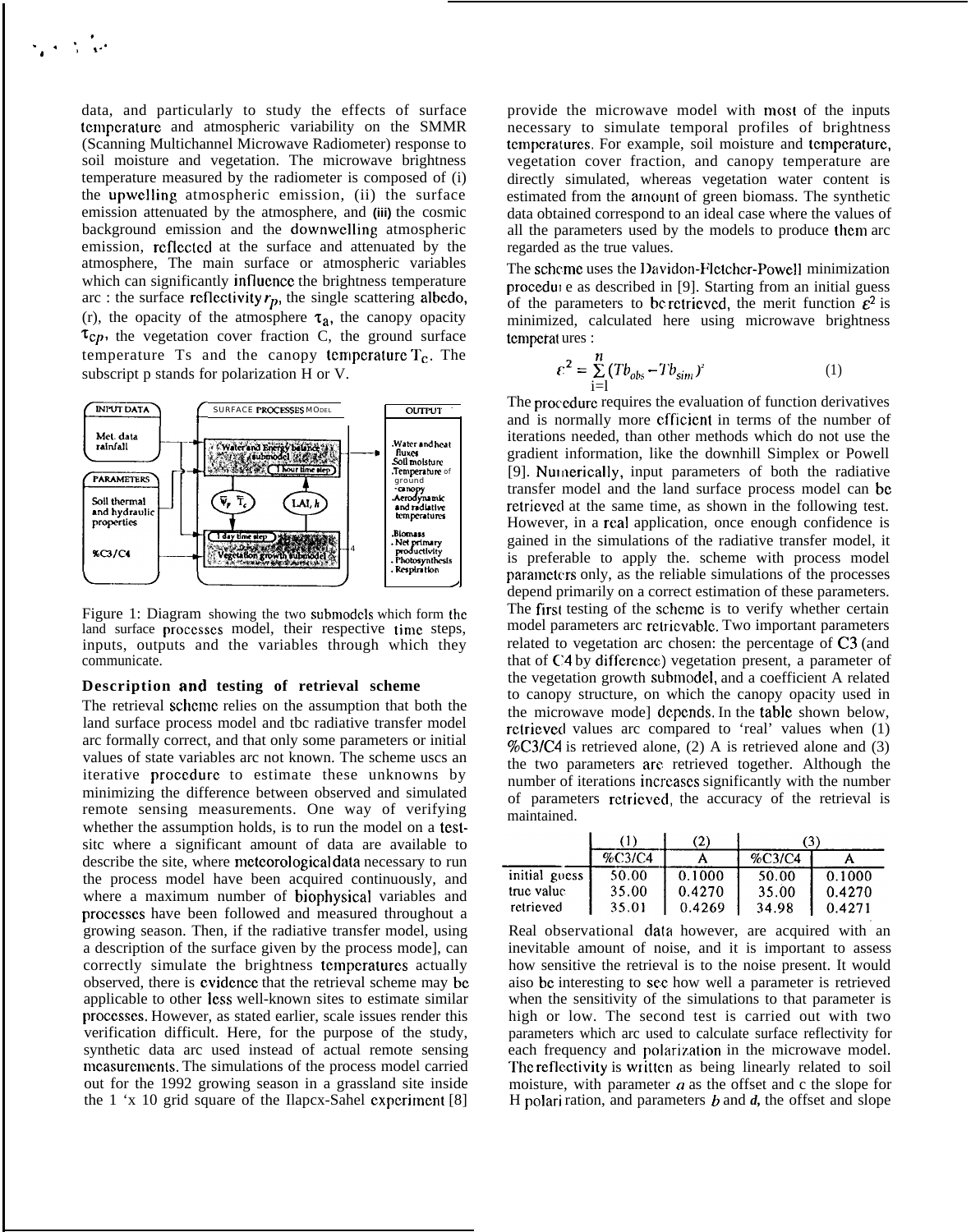data, and particularly to study the effects of surface temperature and atmospheric variability on the SMMR (Scanning Multichannel Microwave Radiometer) response to soil moisture and vegetation. The microwave brightness temperature measured by the radiometer is composed of (i) the upwelling atmospheric emission, (ii) the surface emission attenuated by the atmosphere, and (iii) the cosmic background emission and the downwelling atmospheric emission, reflected at the surface and attenuated by the atmosphere, The main surface or atmospheric variables which can significantly influence the brightness temperature arc : the surface reflectivity  $r_p$ , the single scattering albedo, (r), the opacity of the atmosphere  $\tau_a$ , the canopy opacity  $\tau_{cp}$ , the vegetation cover fraction C, the ground surface temperature Ts and the canopy temperature  $T_c$ . The subscript p stands for polarization H or V.



Figure 1: Diagram showing the two submodels which form the land surface processes model, their respective time steps, inputs, outputs and the variables through which they communicate.

## Description and testing of retrieval scheme

The retrieval scheme relies on the assumption that both the land surface process model and tbc radiative transfer model arc formally correct, and that only some parameters or initial values of state variables arc not known. The scheme uscs an iterative procedure to estimate these unknowns by minimizing the difference between observed and simulated remote sensing measurements. One way of verifying whether the assumption holds, is to run the model on a testsite where a significant amount of data are available to describe the site, where meteorological data necessary to run the process model have been acquired continuously, and where a maximum number of biophysical variables and processes have been followed and measured throughout a growing season. Then, if the radiative transfer model, using a description of the surface given by the process model, can correctly simulate the brightness temperatures actually observed, there is evidence that the retrieval scheme may be applicable to other less well-known sites to estimate similar processes. However, as stated earlier, scale issues render this verification difficult. Here, for the purpose of the study, synthetic data arc used instead of actual remote sensing measurements. The simulations of the process model carried out for the 1992 growing season in a grassland site inside the 1 'x 10 grid square of the Ilapcx-Sahel experiment  $[8]$ 

provide the microwave model with most of the inputs necessary to simulate temporal profiles of brightness temperatures. For example, soil moisture and temperature, vegetation cover fraction, and canopy temperature are directly simulated, whereas vegetation water content is estimated from the amount of green biomass. The synthetic data obtained correspond to an ideal case where the values of all the parameters used by the models to produce them arc regarded as the true values.

The scheme uses the Davidon-Fletcher-Powell minimization procedure as described in [9]. Starting from an initial guess of the parameters to be retrieved, the merit function  $\varepsilon^2$  is minimized, calculated here using microwave brightness temperatures:

$$
\varepsilon^2 = \sum_{i=1}^{n} (Tb_{obs} - Tb_{sim})^2
$$
 (1)

The procedure requires the evaluation of function derivatives and is normally more efficient in terms of the number of iterations needed, than other methods which do not use the gradient information, like the downhill Simplex or Powell [9]. Numerically, input parameters of both the radiative transfer model and the land surface process model can be retrieved at the same time, as shown in the following test. However, in a real application, once enough confidence is gained in the simulations of the radiative transfer model, it is preferable to apply the. scheme with process model parameters only, as the reliable simulations of the processes depend primarily on a correct estimation of these parameters. The first testing of the scheme is to verify whether certain model parameters arc retricvable. Two important parameters related to vegetation arc chosen: the percentage of C3 (and that of C4 by difference) vegetation present, a parameter of the vegetation growth submodel, and a coefficient A related to canopy structure, on which the canopy opacity used in the microwave mode] depends. In the table shown below, retrieved values arc compared to 'real' values when (1) %C3/C4 is retrieved alone, (2) A is retrieved alone and (3) the two parameters are retrieved together. Although the number of iterations increases significantly with the number of parameters retrieved, the accuracy of the retrieval is maintained.

|               | (1)    | (2)    | (3)    |        |
|---------------|--------|--------|--------|--------|
|               | %C3/C4 |        | %C3/C4 |        |
| initial guess | 50.00  | 0.1000 | 50.00  | 0.1000 |
| true value    | 35.00  | 0.4270 | 35.00  | 0.4270 |
| retrieved     | 35.01  | 0.4269 | 34.98  | 0.4271 |

Real observational data however, are acquired with an inevitable amount of noise, and it is important to assess how sensitive the retrieval is to the noise present. It would aiso be interesting to see how well a parameter is retrieved when the sensitivity of the simulations to that parameter is high or low. The second test is carried out with two parameters which arc used to calculate surface reflectivity for each frequency and polarization in the microwave model. The reflectivity is written as being linearly related to soil moisture, with parameter  $\alpha$  as the offset and c the slope for H polari ration, and parameters  $b$  and  $d$ , the offset and slope